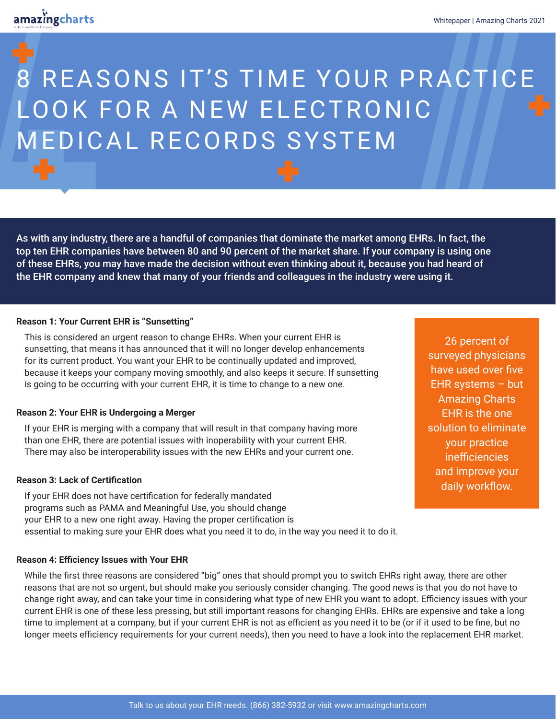# 8 REASONS IT'S TIME YOUR PRACTICE LOOK FOR A NEW ELECTRONIC MEDICAL RECORDS SYSTEM

As with any industry, there are a handful of companies that dominate the market among EHRs. In fact, the top ten EHR companies have between 80 and 90 percent of the market share. If your company is using one of these EHRs, you may have made the decision without even thinking about it, because you had heard of the EHR company and knew that many of your friends and colleagues in the industry were using it.

## **Reason 1: Your Current EHR is "Sunsetting"**

This is considered an urgent reason to change EHRs. When your current EHR is sunsetting, that means it has announced that it will no longer develop enhancements for its current product. You want your EHR to be continually updated and improved, because it keeps your company moving smoothly, and also keeps it secure. If sunsetting is going to be occurring with your current EHR, it is time to change to a new one.

## **Reason 2: Your EHR is Undergoing a Merger**

If your EHR is merging with a company that will result in that company having more than one EHR, there are potential issues with inoperability with your current EHR. There may also be interoperability issues with the new EHRs and your current one.

## **Reason 3: Lack of Certification**

If your EHR does not have certification for federally mandated programs such as PAMA and Meaningful Use, you should change your EHR to a new one right away. Having the proper certification is essential to making sure your EHR does what you need it to do, in the way you need it to do it.

#### **Reason 4: Efficiency Issues with Your EHR**

While the first three reasons are considered "big" ones that should prompt you to switch EHRs right away, there are other reasons that are not so urgent, but should make you seriously consider changing. The good news is that you do not have to change right away, and can take your time in considering what type of new EHR you want to adopt. Efficiency issues with your current EHR is one of these less pressing, but still important reasons for changing EHRs. EHRs are expensive and take a long time to implement at a company, but if your current EHR is not as efficient as you need it to be (or if it used to be fine, but no longer meets efficiency requirements for your current needs), then you need to have a look into the replacement EHR market.

26 percent of surveyed physicians have used over five EHR systems – but Amazing Charts EHR is the one solution to eliminate your practice inefficiencies and improve your daily workflow.